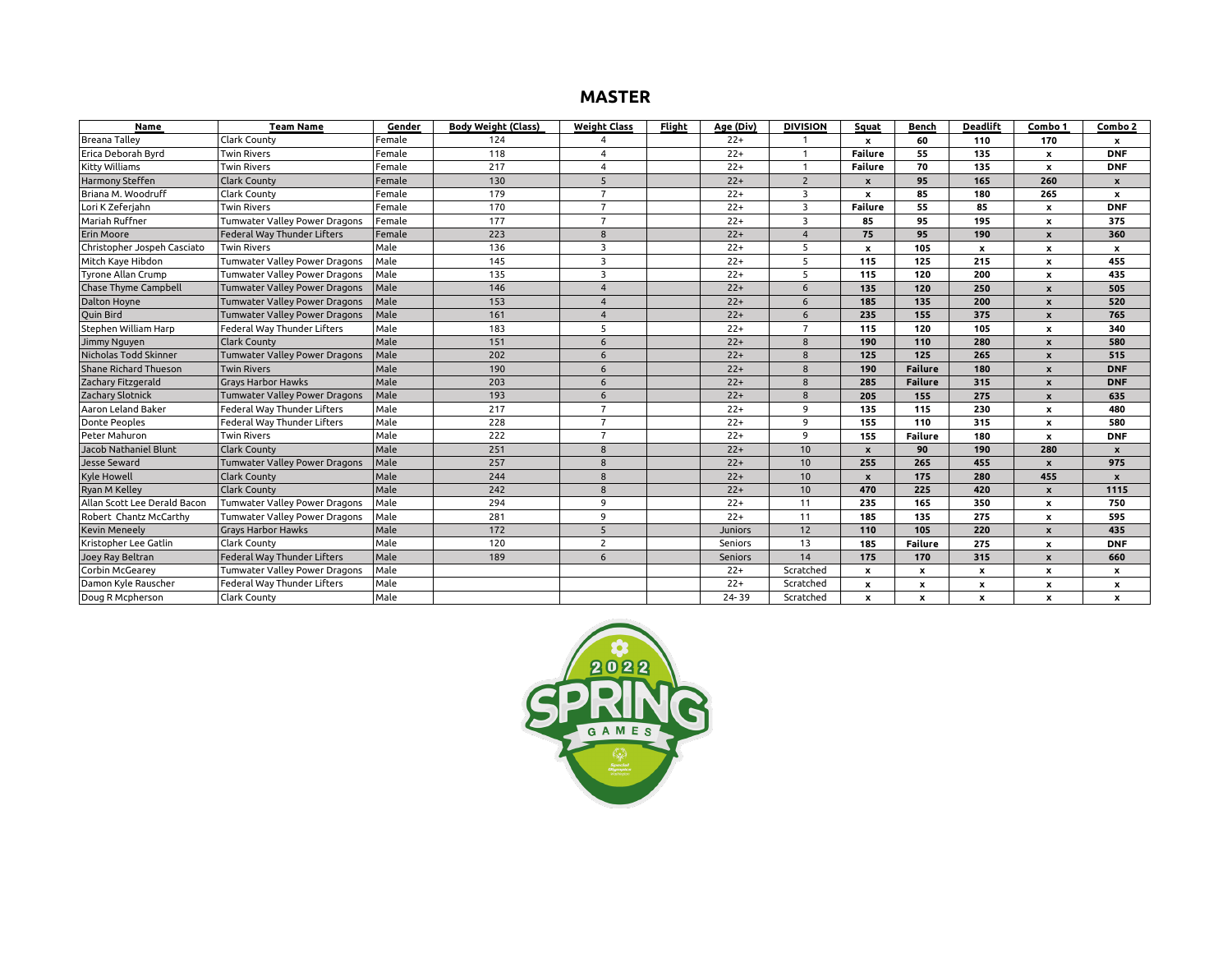#### **MASTER**

| Name                         | <b>Team Name</b>              | Gender | <b>Body Weight (Class)</b> | <b>Weight Class</b> | Flight | <u>Age (Div)</u> | <b>DIVISION</b>         | Squat            | Bench          | Deadlift     | Combo 1                   | Combo 2                   |
|------------------------------|-------------------------------|--------|----------------------------|---------------------|--------|------------------|-------------------------|------------------|----------------|--------------|---------------------------|---------------------------|
| <b>Breana Tallev</b>         | Clark County                  | Female | 124                        |                     |        | $22+$            |                         | x                | 60             | 110          | 170                       | x                         |
| Erica Deborah Byrd           | <b>Twin Rivers</b>            | Female | 118                        | $\Delta$            |        | $22+$            | $\overline{1}$          | <b>Failure</b>   | 55             | 135          | x                         | <b>DNF</b>                |
| <b>Kitty Williams</b>        | <b>Twin Rivers</b>            | Female | 217                        | $\overline{4}$      |        | $22+$            | $\overline{1}$          | Failure          | 70             | 135          | $\boldsymbol{\mathsf{x}}$ | <b>DNF</b>                |
| Harmony Steffen              | Clark County                  | Female | 130                        | 5                   |        | $22+$            | $\overline{2}$          | $\boldsymbol{x}$ | 95             | 165          | 260                       | $\pmb{\mathsf{x}}$        |
| Briana M. Woodruff           | Clark County                  | Female | 179                        | $\overline{7}$      |        | $22+$            | 3                       | $\mathbf{x}$     | 85             | 180          | 265                       | $\pmb{\mathsf{x}}$        |
| Lori K Zeferjahn             | <b>Twin Rivers</b>            | Female | 170                        | $\overline{7}$      |        | $22+$            | $\overline{\mathbf{3}}$ | <b>Failure</b>   | 55             | 85           | x                         | <b>DNF</b>                |
| Mariah Ruffner               | Tumwater Valley Power Dragons | Female | 177                        | $\overline{7}$      |        | $22+$            | $\overline{\mathbf{3}}$ | 85               | 95             | 195          | $\boldsymbol{\mathsf{x}}$ | 375                       |
| Erin Moore                   | Federal Way Thunder Lifters   | Female | 223                        | 8                   |        | $22+$            | $\Delta$                | 75               | 95             | 190          | $\boldsymbol{\mathsf{x}}$ | 360                       |
| Christopher Jospeh Casciato  | <b>Twin Rivers</b>            | Male   | 136                        | 3                   |        | $22+$            | 5                       | x                | 105            | $\mathbf{x}$ | $\boldsymbol{\mathsf{x}}$ | $\mathbf{x}$              |
| Mitch Kaye Hibdon            | Tumwater Valley Power Dragons | Male   | 145                        | 3                   |        | $22+$            | -5                      | 115              | 125            | 215          | $\boldsymbol{\mathsf{x}}$ | 455                       |
| Tyrone Allan Crump           | Tumwater Valley Power Dragons | Male   | 135                        | 3                   |        | $22+$            | -5                      | 115              | 120            | 200          | $\boldsymbol{\mathsf{x}}$ | 435                       |
| Chase Thyme Campbell         | Tumwater Valley Power Dragons | Male   | 146                        | $\Delta$            |        | $22+$            | 6                       | 135              | 120            | 250          | $\mathbf{x}$              | 505                       |
| Dalton Hoyne                 | Tumwater Valley Power Dragons | Male   | 153                        | $\Delta$            |        | $22+$            | 6                       | 185              | 135            | 200          | $\boldsymbol{x}$          | 520                       |
| Quin Bird                    | Tumwater Valley Power Dragons | Male   | 161                        | $\Delta$            |        | $22+$            | 6                       | 235              | 155            | 375          | $\boldsymbol{\mathsf{x}}$ | 765                       |
| Stephen William Harp         | Federal Way Thunder Lifters   | Male   | 183                        | 5                   |        | $22+$            | $\overline{7}$          | 115              | 120            | 105          | $\boldsymbol{\mathsf{x}}$ | 340                       |
| Jimmy Nguyen                 | Clark County                  | Male   | 151                        | 6                   |        | $22+$            | 8                       | 190              | 110            | 280          | $\boldsymbol{\mathsf{x}}$ | 580                       |
| Nicholas Todd Skinner        | Tumwater Valley Power Dragons | Male   | 202                        | 6                   |        | $22+$            | 8                       | 125              | 125            | 265          | $\boldsymbol{\mathsf{x}}$ | 515                       |
| Shane Richard Thueson        | <b>Twin Rivers</b>            | Male   | 190                        | 6                   |        | $22+$            | 8                       | 190              | <b>Failure</b> | 180          | $\boldsymbol{x}$          | <b>DNF</b>                |
| Zachary Fitzgerald           | <b>Gravs Harbor Hawks</b>     | Male   | 203                        | 6                   |        | $22+$            | 8                       | 285              | <b>Failure</b> | 315          | $\boldsymbol{\mathsf{x}}$ | <b>DNF</b>                |
| Zachary Slotnick             | Tumwater Valley Power Dragons | Male   | 193                        | 6                   |        | $22+$            | 8                       | 205              | 155            | 275          | $\boldsymbol{\mathsf{x}}$ | 635                       |
| Aaron Leland Baker           | Federal Way Thunder Lifters   | Male   | 217                        | $\overline{7}$      |        | $22+$            | $\overline{9}$          | 135              | 115            | 230          | $\boldsymbol{\mathsf{x}}$ | 480                       |
| Donte Peoples                | Federal Way Thunder Lifters   | Male   | 228                        | $\overline{7}$      |        | $22+$            | 9                       | 155              | 110            | 315          | $\boldsymbol{\mathsf{x}}$ | 580                       |
| Peter Mahuron                | <b>Twin Rivers</b>            | Male   | 222                        | $\overline{7}$      |        | $22+$            | $\overline{9}$          | 155              | <b>Failure</b> | 180          | $\boldsymbol{\mathsf{x}}$ | <b>DNF</b>                |
| Jacob Nathaniel Blunt        | Clark County                  | Male   | 251                        | 8                   |        | $22+$            | 10                      | $\mathbf{x}$     | 90             | 190          | 280                       | $\boldsymbol{x}$          |
| Jesse Seward                 | Tumwater Valley Power Dragons | Male   | 257                        | 8                   |        | $22+$            | 10                      | 255              | 265            | 455          | $\boldsymbol{\mathsf{x}}$ | 975                       |
| <b>Kyle Howell</b>           | Clark County                  | Male   | 244                        | $\mathbf{R}$        |        | $22+$            | 10                      | $\mathbf{x}$     | 175            | 280          | 455                       | $\boldsymbol{\mathsf{x}}$ |
| Ryan M Kelley                | <b>Clark County</b>           | Male   | 242                        | $\mathbf{R}$        |        | $22+$            | 10                      | 470              | 225            | 420          | $\boldsymbol{x}$          | 1115                      |
| Allan Scott Lee Derald Bacon | Tumwater Valley Power Dragons | Male   | 294                        | 9                   |        | $22+$            | 11                      | 235              | 165            | 350          | $\boldsymbol{\mathsf{x}}$ | 750                       |
| Robert Chantz McCarthy       | Tumwater Valley Power Dragons | Male   | 281                        | $\mathbf{q}$        |        | $22+$            | 11                      | 185              | 135            | 275          | $\boldsymbol{\mathsf{x}}$ | 595                       |
| <b>Kevin Meneely</b>         | <b>Grays Harbor Hawks</b>     | Male   | 172                        | $\overline{5}$      |        | Juniors          | 12                      | 110              | 105            | 220          | $\boldsymbol{\mathsf{x}}$ | 435                       |
| Kristopher Lee Gatlin        | Clark County                  | Male   | 120                        | $\overline{2}$      |        | Seniors          | 13                      | 185              | <b>Failure</b> | 275          | $\boldsymbol{\mathsf{x}}$ | <b>DNF</b>                |
| Joey Ray Beltran             | Federal Way Thunder Lifters   | Male   | 189                        | 6                   |        | Seniors          | 14                      | 175              | 170            | 315          | $\boldsymbol{\mathsf{x}}$ | 660                       |
| Corbin McGearey              | Tumwater Valley Power Dragons | Male   |                            |                     |        | $22+$            | Scratched               | x                | X              | $\mathbf{x}$ | $\boldsymbol{\mathsf{x}}$ | x                         |
| Damon Kyle Rauscher          | Federal Way Thunder Lifters   | Male   |                            |                     |        | $22+$            | Scratched               | x                | X              | x            | $\boldsymbol{\mathsf{x}}$ | $\pmb{\mathsf{x}}$        |
| Doug R Mcpherson             | Clark County                  | Male   |                            |                     |        | 24-39            | Scratched               | $\mathbf{x}$     | $\mathbf{x}$   | x            | x                         | x                         |

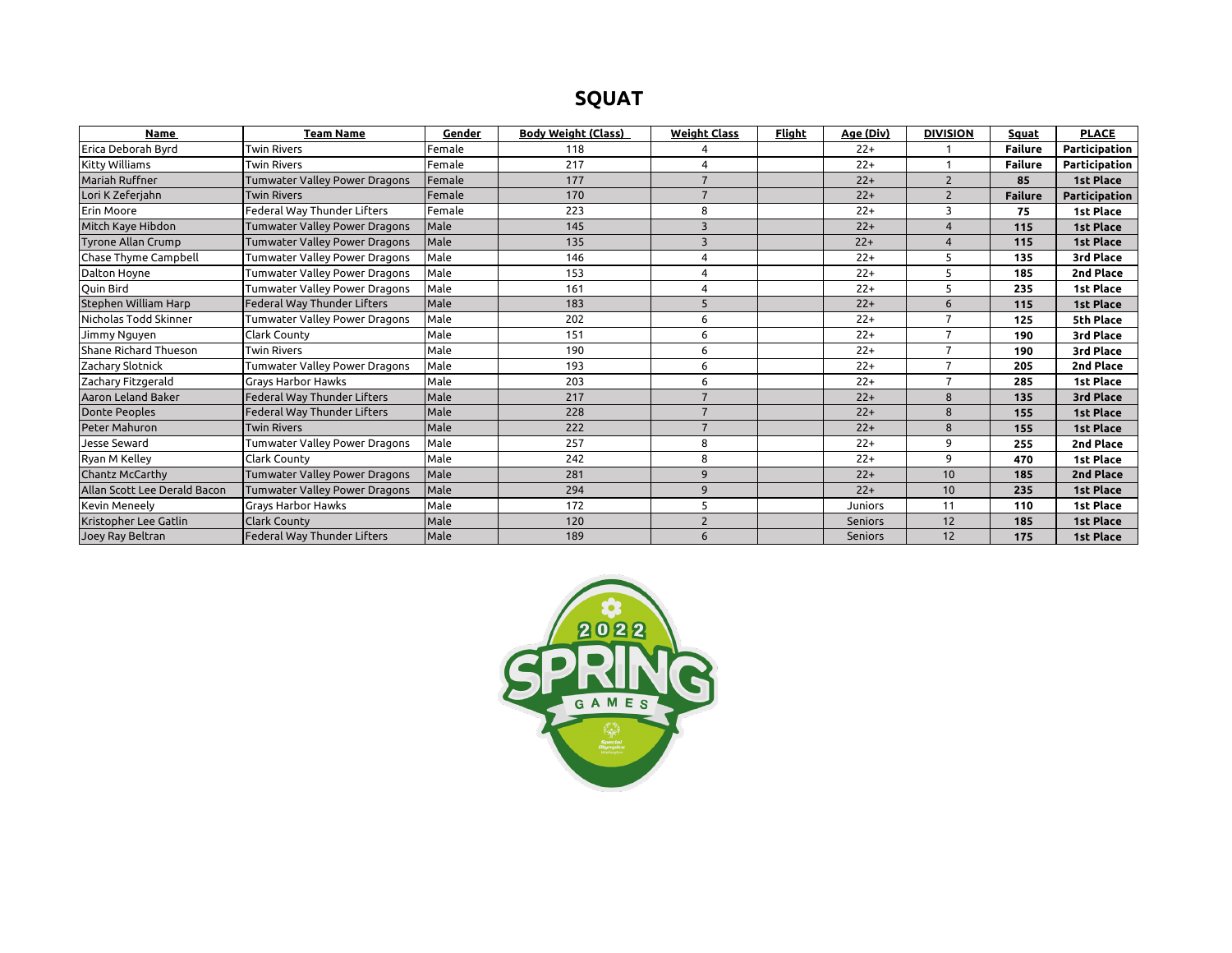# **SQUAT**

| <b>Name</b>                  | <b>Team Name</b>                     | Gender | <b>Body Weight (Class)</b> | <b>Weight Class</b>     | Flight | Age (Div)      | <b>DIVISION</b> | Squat          | <b>PLACE</b>     |
|------------------------------|--------------------------------------|--------|----------------------------|-------------------------|--------|----------------|-----------------|----------------|------------------|
| Erica Deborah Byrd           | <b>Twin Rivers</b>                   | Female | 118                        |                         |        | $22+$          |                 | <b>Failure</b> | Participation    |
| Kitty Williams               | <b>Twin Rivers</b>                   | Female | 217                        | $\overline{a}$          |        | $22+$          |                 | <b>Failure</b> | Participation    |
| Mariah Ruffner               | <b>Tumwater Valley Power Dragons</b> | Female | 177                        | $\overline{7}$          |        | $22+$          | $\overline{2}$  | 85             | 1st Place        |
| Lori K Zeferjahn             | <b>Twin Rivers</b>                   | Female | 170                        | $\overline{7}$          |        | $22+$          | $\overline{2}$  | <b>Failure</b> | Participation    |
| Erin Moore                   | Federal Way Thunder Lifters          | Female | 223                        | 8                       |        | $22+$          | 3               | 75             | <b>1st Place</b> |
| Mitch Kaye Hibdon            | <b>Tumwater Valley Power Dragons</b> | Male   | 145                        | $\overline{\mathbf{3}}$ |        | $22+$          | $\overline{4}$  | 115            | 1st Place        |
| <b>Tyrone Allan Crump</b>    | <b>Tumwater Valley Power Dragons</b> | Male   | 135                        | $\overline{3}$          |        | $22+$          | $\overline{4}$  | 115            | 1st Place        |
| Chase Thyme Campbell         | Tumwater Valley Power Dragons        | Male   | 146                        | 4                       |        | $22+$          | 5               | 135            | 3rd Place        |
| Dalton Hoyne                 | Tumwater Valley Power Dragons        | Male   | 153                        | $\overline{4}$          |        | $22+$          | 5               | 185            | 2nd Place        |
| Ouin Bird                    | Tumwater Valley Power Dragons        | Male   | 161                        | $\Delta$                |        | $22+$          | 5               | 235            | 1st Place        |
| Stephen William Harp         | Federal Way Thunder Lifters          | Male   | 183                        | 5                       |        | $22+$          | 6               | 115            | 1st Place        |
| Nicholas Todd Skinner        | Tumwater Valley Power Dragons        | Male   | 202                        | 6                       |        | $22+$          | $\overline{7}$  | 125            | 5th Place        |
| Jimmy Nguyen                 | Clark County                         | Male   | 151                        | 6                       |        | $22+$          | 7               | 190            | 3rd Place        |
| Shane Richard Thueson        | <b>Twin Rivers</b>                   | Male   | 190                        | 6                       |        | $22+$          | 7               | 190            | 3rd Place        |
| Zachary Slotnick             | Tumwater Valley Power Dragons        | Male   | 193                        | 6                       |        | $22+$          | $\overline{7}$  | 205            | 2nd Place        |
| Zachary Fitzgerald           | <b>Grays Harbor Hawks</b>            | Male   | 203                        | 6                       |        | $22+$          | $\overline{7}$  | 285            | 1st Place        |
| Aaron Leland Baker           | Federal Way Thunder Lifters          | Male   | 217                        | $\overline{7}$          |        | $22+$          | 8               | 135            | 3rd Place        |
| <b>Donte Peoples</b>         | Federal Way Thunder Lifters          | Male   | 228                        | $\overline{7}$          |        | $22+$          | 8               | 155            | 1st Place        |
| Peter Mahuron                | <b>Twin Rivers</b>                   | Male   | 222                        | $\overline{7}$          |        | $22+$          | 8               | 155            | 1st Place        |
| Jesse Seward                 | Tumwater Valley Power Dragons        | Male   | 257                        | 8                       |        | $22+$          | 9               | 255            | 2nd Place        |
| Ryan M Kelley                | Clark County                         | Male   | 242                        | 8                       |        | $22+$          | 9               | 470            | 1st Place        |
| Chantz McCarthy              | <b>Tumwater Valley Power Dragons</b> | Male   | 281                        | 9                       |        | $22+$          | 10              | 185            | 2nd Place        |
| Allan Scott Lee Derald Bacon | <b>Tumwater Valley Power Dragons</b> | Male   | 294                        | 9                       |        | $22+$          | 10              | 235            | 1st Place        |
| Kevin Meneely                | <b>Grays Harbor Hawks</b>            | Male   | 172                        | 5                       |        | Juniors        | 11              | 110            | 1st Place        |
| Kristopher Lee Gatlin        | <b>Clark County</b>                  | Male   | 120                        | $\overline{2}$          |        | <b>Seniors</b> | 12              | 185            | 1st Place        |
| Joey Ray Beltran             | Federal Way Thunder Lifters          | Male   | 189                        | 6                       |        | <b>Seniors</b> | 12              | 175            | 1st Place        |

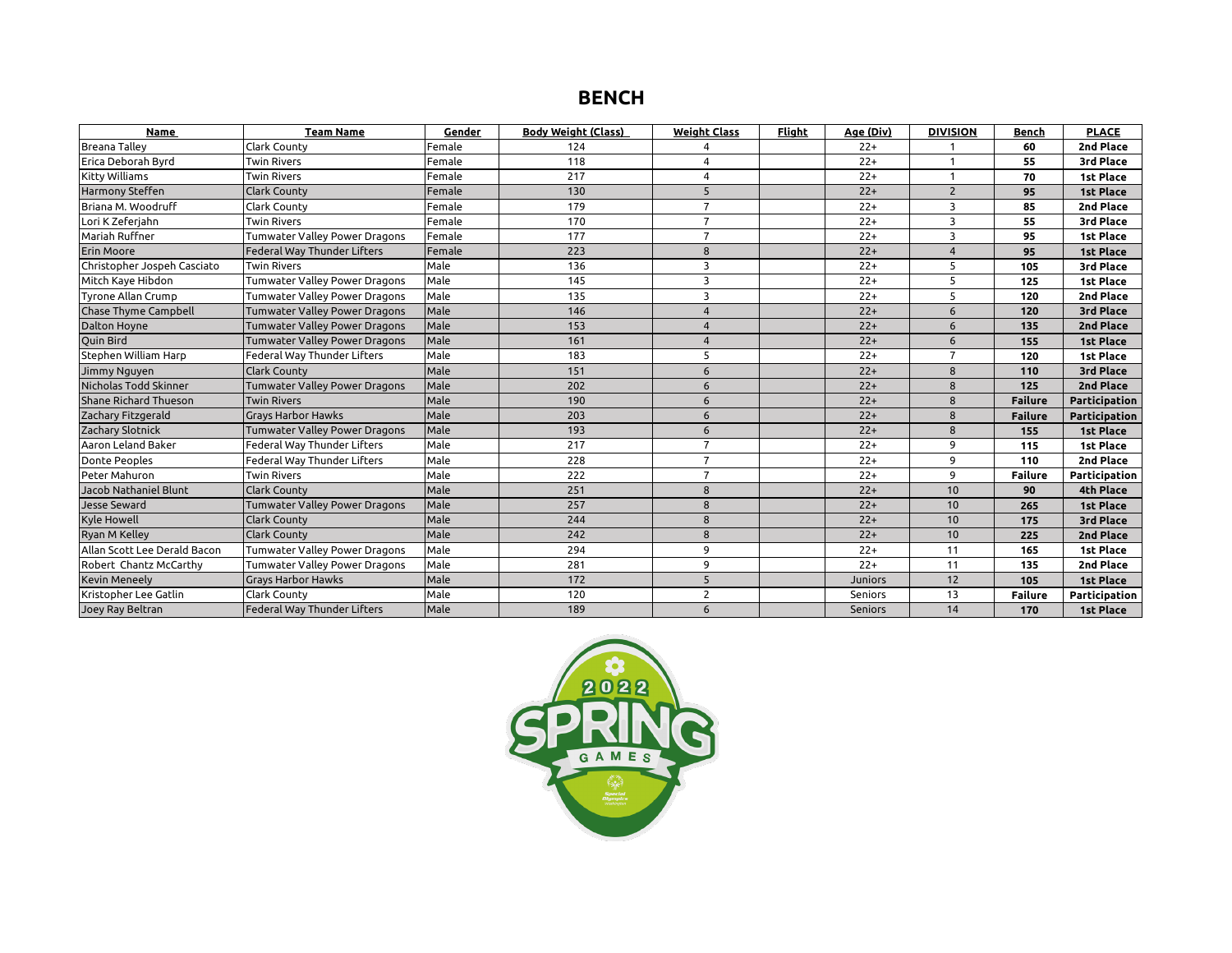## **BENCH**

| <b>Name</b>                  | <b>Team Name</b>                     | Gender | <b>Body Weight (Class)</b> | <b>Weight Class</b> | <b>Flight</b> | Age (Div)      | <b>DIVISION</b> | Bench          | <b>PLACE</b>     |
|------------------------------|--------------------------------------|--------|----------------------------|---------------------|---------------|----------------|-----------------|----------------|------------------|
| <b>Breana Talley</b>         | Clark County                         | Female | 124                        |                     |               | $22+$          |                 | 60             | 2nd Place        |
| Erica Deborah Byrd           | <b>Twin Rivers</b>                   | Female | 118                        | 4                   |               | $22+$          | 1               | 55             | 3rd Place        |
| <b>Kitty Williams</b>        | <b>Twin Rivers</b>                   | Female | 217                        | 4                   |               | $22+$          | 1               | 70             | 1st Place        |
| Harmony Steffen              | <b>Clark County</b>                  | Female | 130                        | 5                   |               | $22+$          | $\overline{2}$  | 95             | <b>1st Place</b> |
| Briana M. Woodruff           | <b>Clark County</b>                  | Female | 179                        | $\overline{7}$      |               | $22+$          | 3               | 85             | 2nd Place        |
| Lori K Zeferjahn             | <b>Twin Rivers</b>                   | Female | 170                        | $\overline{7}$      |               | $22+$          | 3               | 55             | 3rd Place        |
| Mariah Ruffner               | Tumwater Valley Power Dragons        | Female | 177                        | $\overline{7}$      |               | $22+$          | 3               | 95             | 1st Place        |
| Erin Moore                   | Federal Way Thunder Lifters          | Female | 223                        | 8                   |               | $22+$          | 4               | 95             | <b>1st Place</b> |
| Christopher Jospeh Casciato  | <b>Twin Rivers</b>                   | Male   | 136                        | 3                   |               | $22+$          | 5               | 105            | 3rd Place        |
| Mitch Kaye Hibdon            | Tumwater Valley Power Dragons        | Male   | 145                        | 3                   |               | $22+$          | 5               | 125            | <b>1st Place</b> |
| <b>Tyrone Allan Crump</b>    | Tumwater Valley Power Dragons        | Male   | 135                        | 3                   |               | $22+$          | 5               | 120            | 2nd Place        |
| <b>Chase Thyme Campbell</b>  | <b>Tumwater Valley Power Dragons</b> | Male   | 146                        | $\overline{4}$      |               | $22+$          | 6               | 120            | 3rd Place        |
| <b>Dalton Hoyne</b>          | <b>Tumwater Valley Power Dragons</b> | Male   | 153                        | $\overline{4}$      |               | $22+$          | 6               | 135            | 2nd Place        |
| <b>Ouin Bird</b>             | <b>Tumwater Valley Power Dragons</b> | Male   | 161                        | $\overline{4}$      |               | $22+$          | 6               | 155            | <b>1st Place</b> |
| Stephen William Harp         | Federal Way Thunder Lifters          | Male   | 183                        | 5                   |               | $22+$          | $\overline{7}$  | 120            | 1st Place        |
| Jimmy Nguyen                 | <b>Clark County</b>                  | Male   | 151                        | 6                   |               | $22+$          | 8               | 110            | 3rd Place        |
| Nicholas Todd Skinner        | <b>Tumwater Valley Power Dragons</b> | Male   | 202                        | 6                   |               | $22+$          | 8               | 125            | 2nd Place        |
| Shane Richard Thueson        | <b>Twin Rivers</b>                   | Male   | 190                        | 6                   |               | $22+$          | 8               | <b>Failure</b> | Participation    |
| Zachary Fitzgerald           | <b>Gravs Harbor Hawks</b>            | Male   | 203                        | 6                   |               | $22+$          | 8               | <b>Failure</b> | Participation    |
| Zachary Slotnick             | Tumwater Valley Power Dragons        | Male   | 193                        | 6                   |               | $22+$          | 8               | 155            | <b>1st Place</b> |
| Aaron Leland Baker           | <b>Federal Way Thunder Lifters</b>   | Male   | 217                        | $\overline{7}$      |               | $22+$          | 9               | 115            | <b>1st Place</b> |
| <b>Donte Peoples</b>         | Federal Way Thunder Lifters          | Male   | 228                        | $\overline{7}$      |               | $22+$          | 9               | 110            | 2nd Place        |
| Peter Mahuron                | <b>Twin Rivers</b>                   | Male   | 222                        | $\overline{7}$      |               | $22+$          | 9               | <b>Failure</b> | Participation    |
| Jacob Nathaniel Blunt        | <b>Clark County</b>                  | Male   | 251                        | 8                   |               | $22+$          | 10              | 90             | 4th Place        |
| Jesse Seward                 | <b>Tumwater Valley Power Dragons</b> | Male   | 257                        | 8                   |               | $22+$          | 10              | 265            | <b>1st Place</b> |
| <b>Kyle Howell</b>           | <b>Clark County</b>                  | Male   | 244                        | 8                   |               | $22+$          | 10              | 175            | 3rd Place        |
| <b>Ryan M Kelley</b>         | <b>Clark County</b>                  | Male   | 242                        | 8                   |               | $22+$          | 10              | 225            | 2nd Place        |
| Allan Scott Lee Derald Bacon | Tumwater Valley Power Dragons        | Male   | 294                        | 9                   |               | $22+$          | 11              | 165            | <b>1st Place</b> |
| Robert Chantz McCarthy       | Tumwater Valley Power Dragons        | Male   | 281                        | 9                   |               | $22+$          | 11              | 135            | 2nd Place        |
| <b>Kevin Meneely</b>         | <b>Grays Harbor Hawks</b>            | Male   | 172                        | 5                   |               | <b>Juniors</b> | 12              | 105            | <b>1st Place</b> |
| Kristopher Lee Gatlin        | Clark County                         | Male   | 120                        | $\overline{2}$      |               | Seniors        | 13              | <b>Failure</b> | Participation    |
| Joey Ray Beltran             | <b>Federal Way Thunder Lifters</b>   | Male   | 189                        | 6                   |               | <b>Seniors</b> | 14              | 170            | 1st Place        |

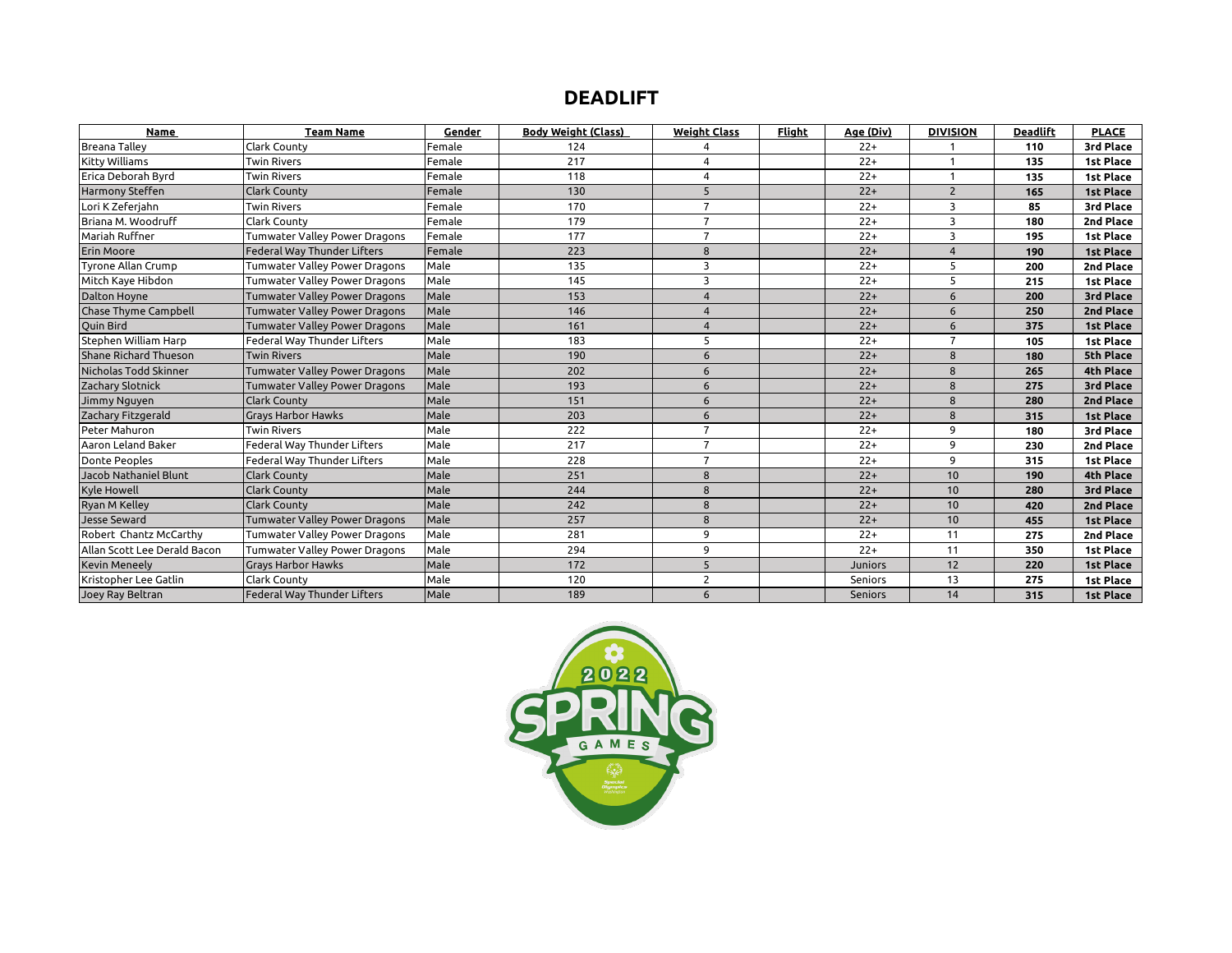## **DEADLIFT**

| <b>Name</b>                  | <b>Team Name</b>                     | Gender | <b>Body Weight (Class)</b> | <b>Weight Class</b> | <b>Flight</b> | Age (Div)      | <b>DIVISION</b> | <b>Deadlift</b> | <b>PLACE</b>     |
|------------------------------|--------------------------------------|--------|----------------------------|---------------------|---------------|----------------|-----------------|-----------------|------------------|
| <b>Breana Talley</b>         | Clark County                         | Female | 124                        |                     |               | $22+$          |                 | 110             | 3rd Place        |
| Kitty Williams               | <b>Twin Rivers</b>                   | Female | 217                        | $\boldsymbol{4}$    |               | $22+$          |                 | 135             | <b>1st Place</b> |
| Erica Deborah Byrd           | <b>Twin Rivers</b>                   | Female | 118                        | $\overline{4}$      |               | $22+$          |                 | 135             | <b>1st Place</b> |
| Harmony Steffen              | <b>Clark County</b>                  | Female | 130                        | 5                   |               | $22+$          | $\overline{2}$  | 165             | <b>1st Place</b> |
| Lori K Zeferjahn             | <b>Twin Rivers</b>                   | Female | 170                        | $\overline{7}$      |               | $22+$          | 3               | 85              | 3rd Place        |
| Briana M. Woodruff           | <b>Clark County</b>                  | Female | 179                        | $\overline{7}$      |               | $22+$          | 3               | 180             | 2nd Place        |
| Mariah Ruffner               | Tumwater Valley Power Dragons        | Female | 177                        | $\overline{7}$      |               | $22+$          | 3               | 195             | <b>1st Place</b> |
| Erin Moore                   | <b>Federal Way Thunder Lifters</b>   | Female | 223                        | 8                   |               | $22+$          |                 | 190             | <b>1st Place</b> |
| Tyrone Allan Crump           | Tumwater Valley Power Dragons        | Male   | 135                        | 3                   |               | $22+$          | 5               | 200             | 2nd Place        |
| Mitch Kaye Hibdon            | Tumwater Valley Power Dragons        | Male   | 145                        | 3                   |               | $22+$          | 5               | 215             | 1st Place        |
| <b>Dalton Hoyne</b>          | <b>Tumwater Valley Power Dragons</b> | Male   | 153                        | $\overline{4}$      |               | $22+$          | 6               | 200             | 3rd Place        |
| Chase Thyme Campbell         | <b>Tumwater Valley Power Dragons</b> | Male   | 146                        | $\overline{4}$      |               | $22+$          | 6               | 250             | 2nd Place        |
| Ouin Bird                    | <b>Tumwater Valley Power Dragons</b> | Male   | 161                        | $\overline{4}$      |               | $22+$          | 6               | 375             | <b>1st Place</b> |
| Stephen William Harp         | Federal Way Thunder Lifters          | Male   | 183                        | 5                   |               | $22+$          | $\overline{7}$  | 105             | 1st Place        |
| Shane Richard Thueson        | <b>Twin Rivers</b>                   | Male   | 190                        | 6                   |               | $22+$          | 8               | 180             | 5th Place        |
| Nicholas Todd Skinner        | Tumwater Valley Power Dragons        | Male   | 202                        | 6                   |               | $22+$          | 8               | 265             | 4th Place        |
| Zachary Slotnick             | <b>Tumwater Valley Power Dragons</b> | Male   | 193                        | 6                   |               | $22+$          | 8               | 275             | 3rd Place        |
| Jimmy Nguyen                 | <b>Clark County</b>                  | Male   | 151                        | 6                   |               | $22+$          | 8               | 280             | 2nd Place        |
| Zachary Fitzgerald           | <b>Gravs Harbor Hawks</b>            | Male   | 203                        | 6                   |               | $22+$          | $\mathbf{8}$    | 315             | <b>1st Place</b> |
| Peter Mahuron                | <b>Twin Rivers</b>                   | Male   | 222                        | $\overline{7}$      |               | $22+$          | 9               | 180             | 3rd Place        |
| Aaron Leland Baker           | Federal Way Thunder Lifters          | Male   | 217                        | $\overline{7}$      |               | $22+$          | 9               | 230             | 2nd Place        |
| <b>Donte Peoples</b>         | Federal Way Thunder Lifters          | Male   | 228                        | $\overline{7}$      |               | $22+$          | 9               | 315             | <b>1st Place</b> |
| Jacob Nathaniel Blunt        | <b>Clark County</b>                  | Male   | 251                        | 8                   |               | $22+$          | 10              | 190             | 4th Place        |
| <b>Kyle Howell</b>           | <b>Clark County</b>                  | Male   | 244                        | 8                   |               | $22+$          | 10              | 280             | 3rd Place        |
| Ryan M Kelley                | <b>Clark County</b>                  | Male   | 242                        | 8                   |               | $22+$          | 10              | 420             | 2nd Place        |
| <b>Jesse Seward</b>          | <b>Tumwater Valley Power Dragons</b> | Male   | 257                        | 8                   |               | $22+$          | 10              | 455             | <b>1st Place</b> |
| Robert Chantz McCarthy       | Tumwater Valley Power Dragons        | Male   | 281                        | 9                   |               | $22+$          | 11              | 275             | 2nd Place        |
| Allan Scott Lee Derald Bacon | Tumwater Valley Power Dragons        | Male   | 294                        | 9                   |               | $22+$          | 11              | 350             | 1st Place        |
| <b>Kevin Meneely</b>         | <b>Grays Harbor Hawks</b>            | Male   | 172                        | 5                   |               | <b>Juniors</b> | 12              | 220             | <b>1st Place</b> |
| Kristopher Lee Gatlin        | <b>Clark County</b>                  | Male   | 120                        | $\overline{2}$      |               | <b>Seniors</b> | 13              | 275             | 1st Place        |
| Joey Ray Beltran             | Federal Way Thunder Lifters          | Male   | 189                        | 6                   |               | Seniors        | 14              | 315             | 1st Place        |

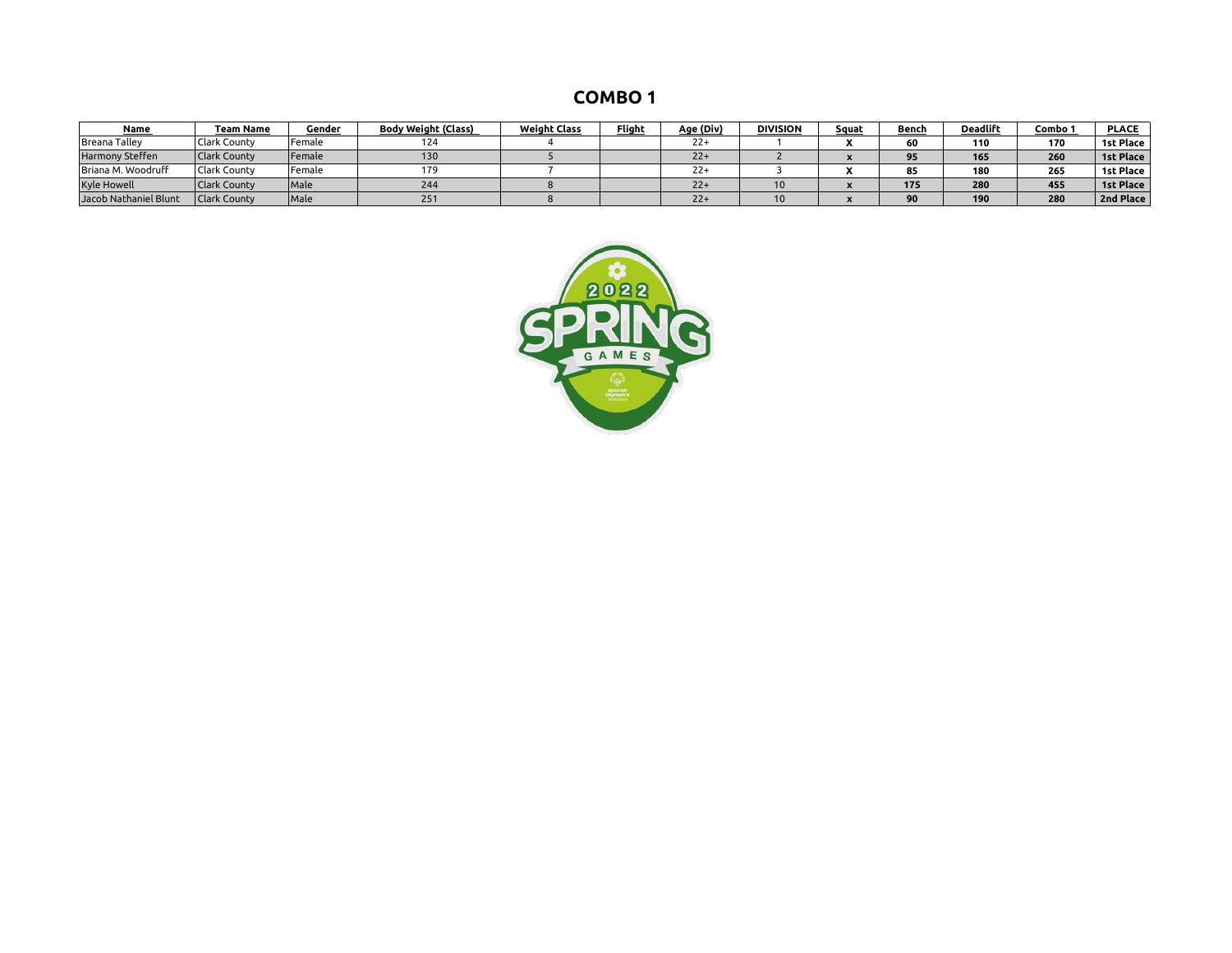| <b>COMBO1</b> |  |
|---------------|--|
|---------------|--|

| <b>Name</b>           | Team Name           | Gender | <b>Body Weight (Class)</b> | <b>Weight Class</b> | <b>Flight</b> | Age (Div) | <b>DIVISION</b> | Squat | Bench | <b>Deadlift</b> | Combo 1 | <b>PLACE</b>     |
|-----------------------|---------------------|--------|----------------------------|---------------------|---------------|-----------|-----------------|-------|-------|-----------------|---------|------------------|
| <b>Breana Talley</b>  | Clark County        | Female | 124                        |                     |               | $22+$     |                 |       | 60    | 110             | 170     | 1st Place        |
| Harmony Steffen       | Clark County        | Female | 130                        |                     |               | $22+$     |                 |       | 0E    | 165             | 260     | <b>1st Place</b> |
| Briana M. Woodruff    | <b>Clark County</b> | Female | 179                        |                     |               | $22+$     |                 |       | 85    | 180             | 265     | 1st Place        |
| <b>Kyle Howell</b>    | <b>Clark County</b> | Male   | 244                        |                     |               | $22+$     | 10              |       | 175   | 280             | 455     | <b>1st Place</b> |
| Jacob Nathaniel Blunt | <b>Clark County</b> | Male   | 251                        |                     |               | $22+$     | 10              |       | 90    | 190             | 280     | 2nd Place        |